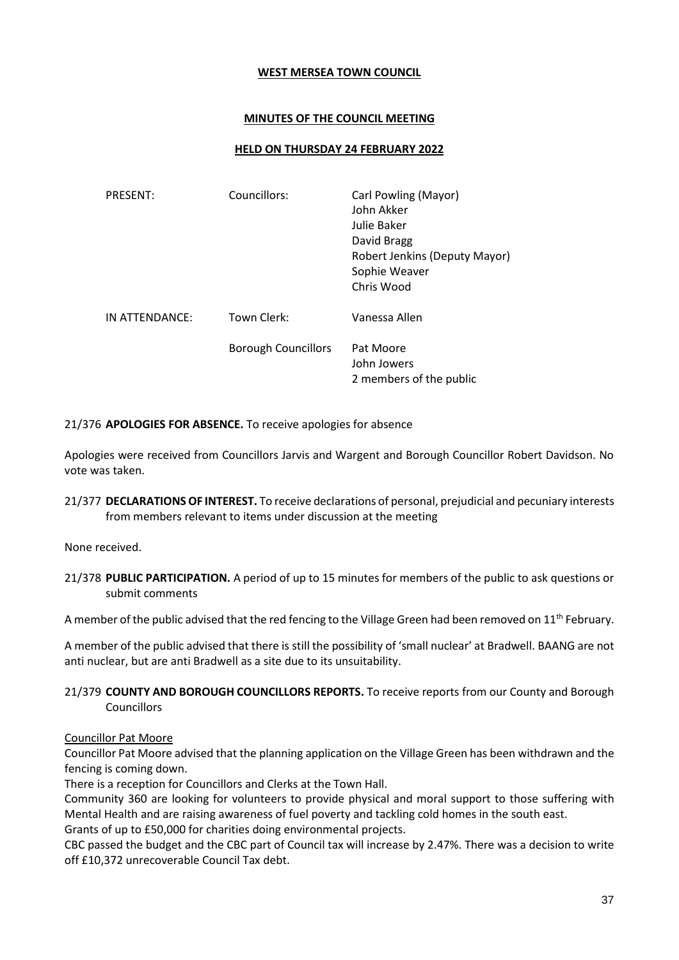#### **WEST MERSEA TOWN COUNCIL**

# **MINUTES OF THE COUNCIL MEETING**

## **HELD ON THURSDAY 24 FEBRUARY 2022**

| <b>PRESENT:</b> | Councillors:               | Carl Powling (Mayor)<br>John Akker<br>Julie Baker<br>David Bragg<br>Robert Jenkins (Deputy Mayor)<br>Sophie Weaver<br>Chris Wood |
|-----------------|----------------------------|----------------------------------------------------------------------------------------------------------------------------------|
| IN ATTENDANCE:  | Town Clerk:                | Vanessa Allen                                                                                                                    |
|                 | <b>Borough Councillors</b> | Pat Moore<br>John Jowers<br>2 members of the public                                                                              |

21/376 **APOLOGIES FOR ABSENCE.** To receive apologies for absence

Apologies were received from Councillors Jarvis and Wargent and Borough Councillor Robert Davidson. No vote was taken.

21/377 **DECLARATIONS OF INTEREST.** To receive declarations of personal, prejudicial and pecuniary interests from members relevant to items under discussion at the meeting

None received.

21/378 **PUBLIC PARTICIPATION.** A period of up to 15 minutes for members of the public to ask questions or submit comments

A member of the public advised that the red fencing to the Village Green had been removed on 11<sup>th</sup> February.

A member of the public advised that there is still the possibility of 'small nuclear' at Bradwell. BAANG are not anti nuclear, but are anti Bradwell as a site due to its unsuitability.

# 21/379 **COUNTY AND BOROUGH COUNCILLORS REPORTS.** To receive reports from our County and Borough **Councillors**

# Councillor Pat Moore

Councillor Pat Moore advised that the planning application on the Village Green has been withdrawn and the fencing is coming down.

There is a reception for Councillors and Clerks at the Town Hall.

Community 360 are looking for volunteers to provide physical and moral support to those suffering with Mental Health and are raising awareness of fuel poverty and tackling cold homes in the south east. Grants of up to £50,000 for charities doing environmental projects.

CBC passed the budget and the CBC part of Council tax will increase by 2.47%. There was a decision to write off £10,372 unrecoverable Council Tax debt.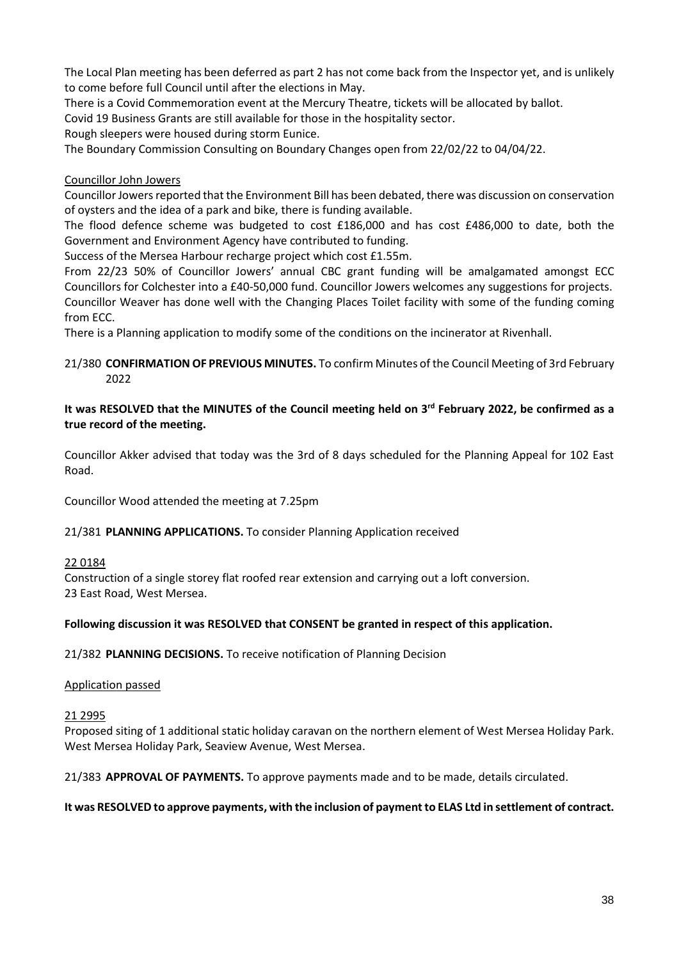The Local Plan meeting has been deferred as part 2 has not come back from the Inspector yet, and is unlikely to come before full Council until after the elections in May.

There is a Covid Commemoration event at the Mercury Theatre, tickets will be allocated by ballot.

Covid 19 Business Grants are still available for those in the hospitality sector.

Rough sleepers were housed during storm Eunice.

The Boundary Commission Consulting on Boundary Changes open from 22/02/22 to 04/04/22.

## Councillor John Jowers

Councillor Jowers reported that the Environment Bill has been debated, there was discussion on conservation of oysters and the idea of a park and bike, there is funding available.

The flood defence scheme was budgeted to cost £186,000 and has cost £486,000 to date, both the Government and Environment Agency have contributed to funding.

Success of the Mersea Harbour recharge project which cost £1.55m.

From 22/23 50% of Councillor Jowers' annual CBC grant funding will be amalgamated amongst ECC Councillors for Colchester into a £40-50,000 fund. Councillor Jowers welcomes any suggestions for projects. Councillor Weaver has done well with the Changing Places Toilet facility with some of the funding coming from ECC.

There is a Planning application to modify some of the conditions on the incinerator at Rivenhall.

## 21/380 **CONFIRMATION OF PREVIOUS MINUTES.** To confirm Minutes of the Council Meeting of 3rd February 2022

# **It was RESOLVED that the MINUTES of the Council meeting held on 3 rd February 2022, be confirmed as a true record of the meeting.**

Councillor Akker advised that today was the 3rd of 8 days scheduled for the Planning Appeal for 102 East Road.

Councillor Wood attended the meeting at 7.25pm

# 21/381 **PLANNING APPLICATIONS.** To consider Planning Application received

#### 22 0184

Construction of a single storey flat roofed rear extension and carrying out a loft conversion. 23 East Road, West Mersea.

# **Following discussion it was RESOLVED that CONSENT be granted in respect of this application.**

21/382 **PLANNING DECISIONS.** To receive notification of Planning Decision

#### Application passed

#### 21 2995

Proposed siting of 1 additional static holiday caravan on the northern element of West Mersea Holiday Park. West Mersea Holiday Park, Seaview Avenue, West Mersea.

21/383 **APPROVAL OF PAYMENTS.** To approve payments made and to be made, details circulated.

#### **It was RESOLVED to approve payments, with the inclusion of payment to ELAS Ltd in settlement of contract.**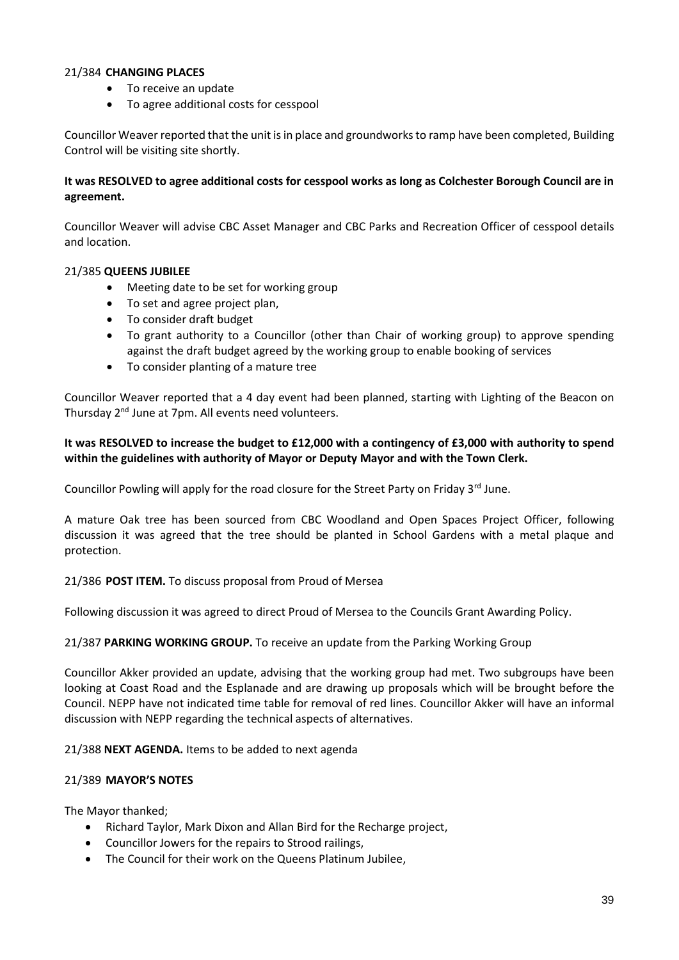## 21/384 **CHANGING PLACES**

- To receive an update
- To agree additional costs for cesspool

Councillor Weaver reported that the unit is in place and groundworks to ramp have been completed, Building Control will be visiting site shortly.

## **It was RESOLVED to agree additional costs for cesspool works as long as Colchester Borough Council are in agreement.**

Councillor Weaver will advise CBC Asset Manager and CBC Parks and Recreation Officer of cesspool details and location.

## 21/385 **QUEENS JUBILEE**

- Meeting date to be set for working group
- To set and agree project plan,
- To consider draft budget
- To grant authority to a Councillor (other than Chair of working group) to approve spending against the draft budget agreed by the working group to enable booking of services
- To consider planting of a mature tree

Councillor Weaver reported that a 4 day event had been planned, starting with Lighting of the Beacon on Thursday 2<sup>nd</sup> June at 7pm. All events need volunteers.

# **It was RESOLVED to increase the budget to £12,000 with a contingency of £3,000 with authority to spend within the guidelines with authority of Mayor or Deputy Mayor and with the Town Clerk.**

Councillor Powling will apply for the road closure for the Street Party on Friday 3rd June.

A mature Oak tree has been sourced from CBC Woodland and Open Spaces Project Officer, following discussion it was agreed that the tree should be planted in School Gardens with a metal plaque and protection.

21/386 **POST ITEM.** To discuss proposal from Proud of Mersea

Following discussion it was agreed to direct Proud of Mersea to the Councils Grant Awarding Policy.

#### 21/387 **PARKING WORKING GROUP.** To receive an update from the Parking Working Group

Councillor Akker provided an update, advising that the working group had met. Two subgroups have been looking at Coast Road and the Esplanade and are drawing up proposals which will be brought before the Council. NEPP have not indicated time table for removal of red lines. Councillor Akker will have an informal discussion with NEPP regarding the technical aspects of alternatives.

21/388 **NEXT AGENDA.** Items to be added to next agenda

#### 21/389 **MAYOR'S NOTES**

The Mayor thanked;

- Richard Taylor, Mark Dixon and Allan Bird for the Recharge project,
- Councillor Jowers for the repairs to Strood railings,
- The Council for their work on the Queens Platinum Jubilee,